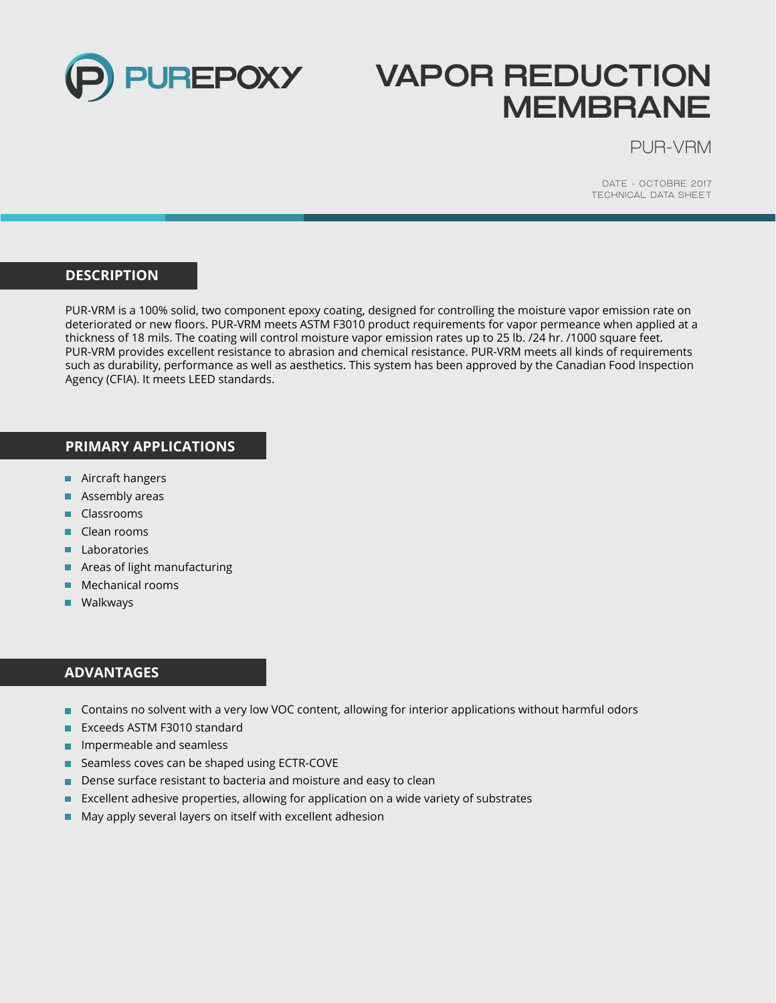

# **VAPOR REDUCTION MEMBRANE**

PUR-VRM

DATE - OCTOBRE 2017 TECHNICAL DATA SHEET

# **DESCRIPTION**

PUR-VRM is a 100% solid, two component epoxy coating, designed for controlling the moisture vapor emission rate on deteriorated or new floors. PUR-VRM meets ASTM F3010 product requirements for vapor permeance when applied at a thickness of 18 mils. The coating will control moisture vapor emission rates up to 25 lb. /24 hr. /1000 square feet. PUR-VRM provides excellent resistance to abrasion and chemical resistance. PUR-VRM meets all kinds of requirements such as durability, performance as well as aesthetics. This system has been approved by the Canadian Food Inspection Agency (CFIA). It meets LEED standards.

#### **PRIMARY APPLICATIONS**

- Aircraft hangers
- **Assembly areas**
- **Classrooms**
- Clean rooms
- **Laboratories**
- **Areas of light manufacturing**
- Mechanical rooms ш
- **Walkways**

# **ADVANTAGES**

- Contains no solvent with a very low VOC content, allowing for interior applications without harmful odors
- Exceeds ASTM F3010 standard
- ш Impermeable and seamless
- Seamless coves can be shaped using ECTR-COVE
- Dense surface resistant to bacteria and moisture and easy to clean
- Excellent adhesive properties, allowing for application on a wide variety of substrates ш
- May apply several layers on itself with excellent adhesion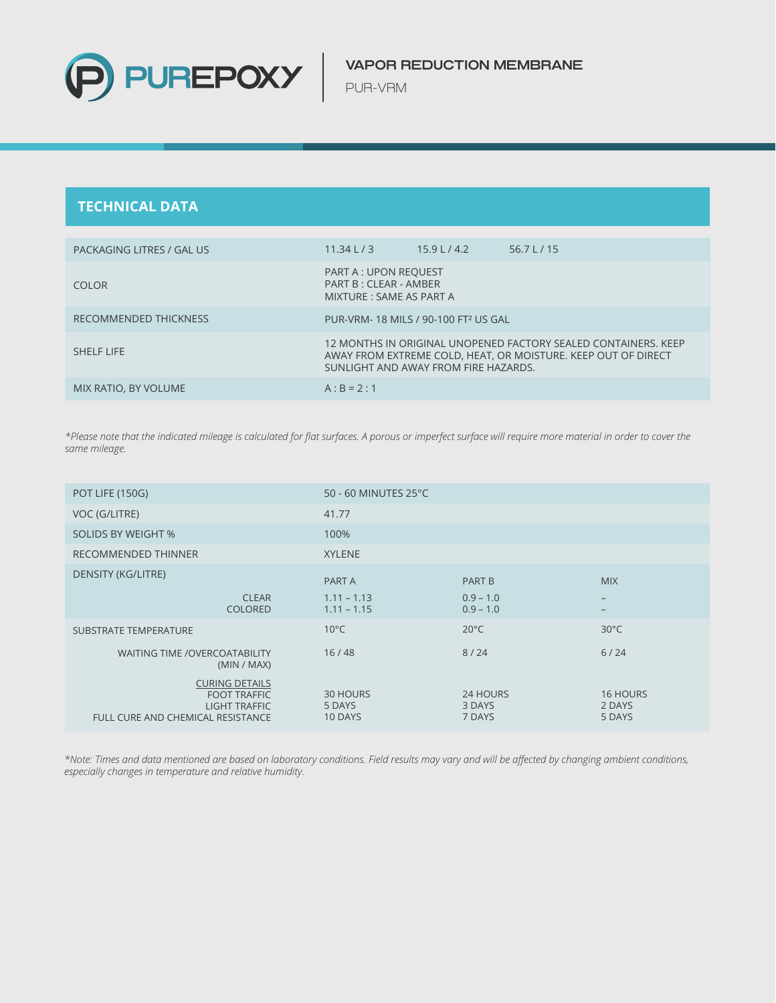

PUR-VRM

# **TECHNICAL DATA**

| PACKAGING LITRES / GAL US | 11.34 L/3                                                                                                                                                               | $15.9$ L / 4.2 | 56.7 L $/$ 15 |  |
|---------------------------|-------------------------------------------------------------------------------------------------------------------------------------------------------------------------|----------------|---------------|--|
| COLOR <sub>1</sub>        | PART A : UPON REQUEST<br>PART B: CLEAR - AMBER<br>MIXTURE : SAME AS PART A                                                                                              |                |               |  |
| RECOMMENDED THICKNESS     | PUR-VRM-18 MILS / 90-100 FT <sup>2</sup> US GAL                                                                                                                         |                |               |  |
| <b>SHELF LIFE</b>         | 12 MONTHS IN ORIGINAL UNOPENED FACTORY SEALED CONTAINERS. KEEP<br>AWAY FROM EXTREME COLD, HEAT, OR MOISTURE. KEEP OUT OF DIRECT<br>SUNLIGHT AND AWAY FROM FIRE HAZARDS. |                |               |  |
| MIX RATIO, BY VOLUME      | $A : B = 2 : 1$                                                                                                                                                         |                |               |  |

*\*Please note that the indicated mileage is calculated for flat surfaces. A porous or imperfect surface will require more material in order to cover the same mileage.*

| <b>POT LIFE (150G)</b>                                                                                    | 50 - 60 MINUTES 25°C           |                              |                                     |
|-----------------------------------------------------------------------------------------------------------|--------------------------------|------------------------------|-------------------------------------|
| VOC (G/LITRE)                                                                                             | 41.77                          |                              |                                     |
| <b>SOLIDS BY WEIGHT %</b>                                                                                 | 100%                           |                              |                                     |
| <b>RECOMMENDED THINNER</b>                                                                                | <b>XYLENE</b>                  |                              |                                     |
| <b>DENSITY (KG/LITRE)</b>                                                                                 | PART A                         | <b>PART B</b>                | <b>MIX</b>                          |
| <b>CLEAR</b><br><b>COLORED</b>                                                                            | $1.11 - 1.13$<br>$1.11 - 1.15$ | $0.9 - 1.0$<br>$0.9 - 1.0$   | $\overline{\phantom{m}}$            |
| <b>SUBSTRATE TEMPERATURE</b>                                                                              | $10^{\circ}$ C                 | $20^{\circ}$ C               | $30^{\circ}$ C                      |
| <b>WAITING TIME /OVERCOATABILITY</b><br>(MIN / MAX)                                                       | 16/48                          | 8/24                         | 6/24                                |
| <b>CURING DETAILS</b><br><b>FOOT TRAFFIC</b><br><b>LIGHT TRAFFIC</b><br>FULL CURE AND CHEMICAL RESISTANCE | 30 HOURS<br>5 DAYS<br>10 DAYS  | 24 HOURS<br>3 DAYS<br>7 DAYS | <b>16 HOURS</b><br>2 DAYS<br>5 DAYS |

*\*Note: Times and data mentioned are based on laboratory conditions. Field results may vary and will be affected by changing ambient conditions, especially changes in temperature and relative humidity.*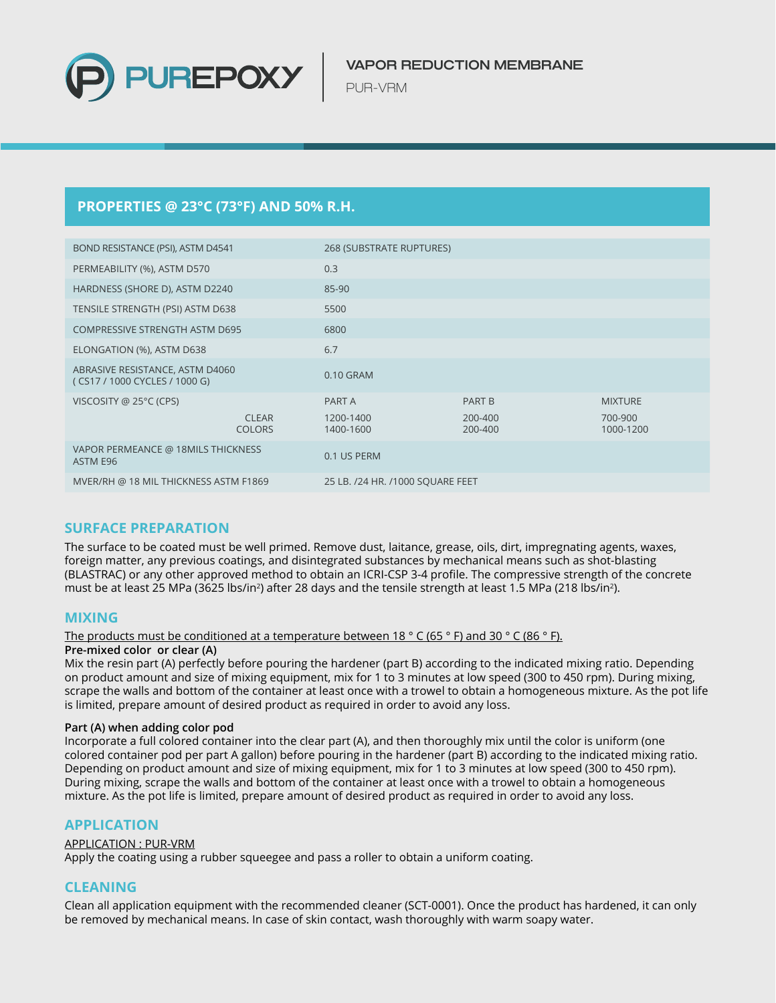

PUR-VRM

# **PROPERTIES @ 23°C (73°F) AND 50% R.H.**

| BOND RESISTANCE (PSI), ASTM D4541                                |                               | 268 (SUBSTRATE RUPTURES)         |                    |                      |
|------------------------------------------------------------------|-------------------------------|----------------------------------|--------------------|----------------------|
| PERMEABILITY (%), ASTM D570                                      |                               | 0.3                              |                    |                      |
| HARDNESS (SHORE D), ASTM D2240                                   |                               | 85-90                            |                    |                      |
| TENSILE STRENGTH (PSI) ASTM D638                                 |                               | 5500                             |                    |                      |
| <b>COMPRESSIVE STRENGTH ASTM D695</b>                            |                               | 6800                             |                    |                      |
| ELONGATION (%), ASTM D638                                        |                               | 6.7                              |                    |                      |
| ABRASIVE RESISTANCE, ASTM D4060<br>(CS17 / 1000 CYCLES / 1000 G) |                               | 0.10 GRAM                        |                    |                      |
| VISCOSITY @ 25°C (CPS)                                           |                               | PART A                           | PART B             | <b>MIXTURE</b>       |
|                                                                  | <b>CLEAR</b><br><b>COLORS</b> | 1200-1400<br>1400-1600           | 200-400<br>200-400 | 700-900<br>1000-1200 |
| VAPOR PERMEANCE @ 18MILS THICKNESS<br>ASTM E96                   |                               | 0.1 US PERM                      |                    |                      |
| MVER/RH @ 18 MIL THICKNESS ASTM F1869                            |                               | 25 LB. /24 HR. /1000 SQUARE FEET |                    |                      |
|                                                                  |                               |                                  |                    |                      |

# **SURFACE PREPARATION**

The surface to be coated must be well primed. Remove dust, laitance, grease, oils, dirt, impregnating agents, waxes, foreign matter, any previous coatings, and disintegrated substances by mechanical means such as shot-blasting (BLASTRAC) or any other approved method to obtain an ICRI-CSP 3-4 profile. The compressive strength of the concrete must be at least 25 MPa (3625 lbs/in<sup>2</sup>) after 28 days and the tensile strength at least 1.5 MPa (218 lbs/in<sup>2</sup>).

# **MIXING**

#### The products must be conditioned at a temperature between 18 ° C (65 ° F) and 30 ° C (86 ° F).

#### **Pre-mixed color or clear (A)**

Mix the resin part (A) perfectly before pouring the hardener (part B) according to the indicated mixing ratio. Depending on product amount and size of mixing equipment, mix for 1 to 3 minutes at low speed (300 to 450 rpm). During mixing, scrape the walls and bottom of the container at least once with a trowel to obtain a homogeneous mixture. As the pot life is limited, prepare amount of desired product as required in order to avoid any loss.

#### **Part (A) when adding color pod**

Incorporate a full colored container into the clear part (A), and then thoroughly mix until the color is uniform (one colored container pod per part A gallon) before pouring in the hardener (part B) according to the indicated mixing ratio. Depending on product amount and size of mixing equipment, mix for 1 to 3 minutes at low speed (300 to 450 rpm). During mixing, scrape the walls and bottom of the container at least once with a trowel to obtain a homogeneous mixture. As the pot life is limited, prepare amount of desired product as required in order to avoid any loss.

# **APPLICATION**

#### APPLICATION : PUR-VRM

Apply the coating using a rubber squeegee and pass a roller to obtain a uniform coating.

# **CLEANING**

Clean all application equipment with the recommended cleaner (SCT-0001). Once the product has hardened, it can only be removed by mechanical means. In case of skin contact, wash thoroughly with warm soapy water.